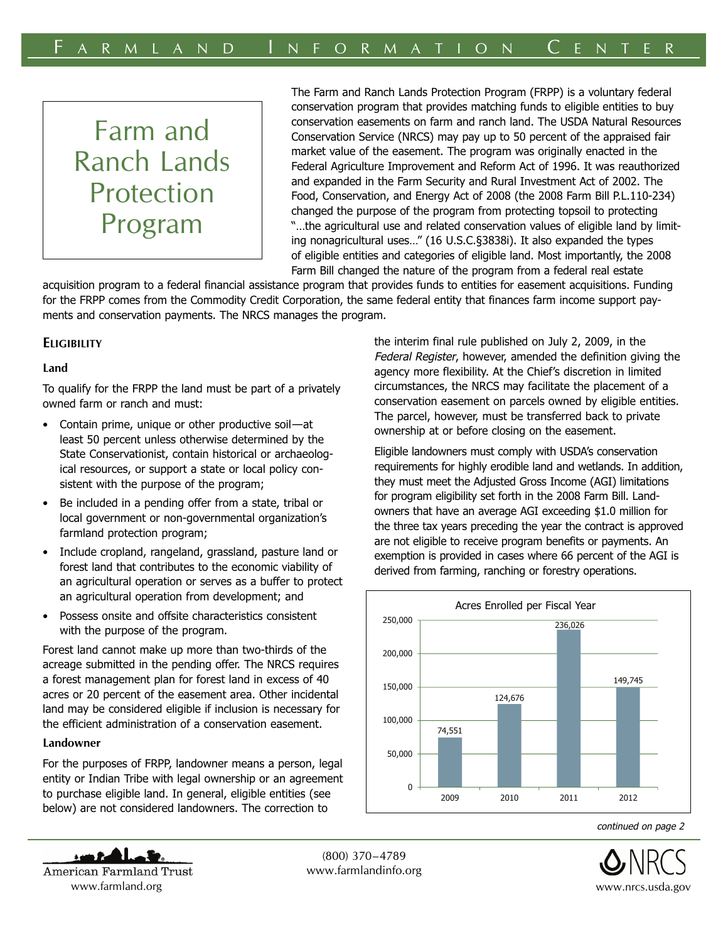# Farm and Ranch Lands Protection Program

The Farm and Ranch Lands Protection Program (FRPP) is a voluntary federal conservation program that provides matching funds to eligible entities to buy conservation easements on farm and ranch land. The USDA Natural Resources Conservation Service (NRCS) may pay up to 50 percent of the appraised fair market value of the easement. The program was originally enacted in the Federal Agriculture Improvement and Reform Act of 1996. It was reauthorized and expanded in the Farm Security and Rural Investment Act of 2002. The Food, Conservation, and Energy Act of 2008 (the 2008 Farm Bill P.L.110-234) changed the purpose of the program from protecting topsoil to protecting "…the agricultural use and related conservation values of eligible land by limiting nonagricultural uses…" (16 U.S.C.§3838i). It also expanded the types of eligible entities and categories of eligible land. Most importantly, the 2008 Farm Bill changed the nature of the program from a federal real estate

acquisition program to a federal financial assistance program that provides funds to entities for easement acquisitions. Funding for the FRPP comes from the Commodity Credit Corporation, the same federal entity that finances farm income support payments and conservation payments. The NRCS manages the program.

## **ELIGIBILITY**

## **Land**

To qualify for the FRPP the land must be part of a privately owned farm or ranch and must:

- Contain prime, unique or other productive soil—at least 50 percent unless otherwise determined by the State Conservationist, contain historical or archaeological resources, or support a state or local policy consistent with the purpose of the program;
- Be included in a pending offer from a state, tribal or local government or non-governmental organization's farmland protection program;
- Include cropland, rangeland, grassland, pasture land or forest land that contributes to the economic viability of an agricultural operation or serves as a buffer to protect an agricultural operation from development; and
- Possess onsite and offsite characteristics consistent with the purpose of the program.

Forest land cannot make up more than two-thirds of the acreage submitted in the pending offer. The NRCS requires a forest management plan for forest land in excess of 40 acres or 20 percent of the easement area. Other incidental land may be considered eligible if inclusion is necessary for the efficient administration of a conservation easement.

## **Landowner**

For the purposes of FRPP, landowner means a person, legal entity or Indian Tribe with legal ownership or an agreement to purchase eligible land. In general, eligible entities (see below) are not considered landowners. The correction to

the interim final rule published on July 2, 2009, in the Federal Register, however, amended the definition giving the agency more flexibility. At the Chief's discretion in limited circumstances, the NRCS may facilitate the placement of a conservation easement on parcels owned by eligible entities. The parcel, however, must be transferred back to private ownership at or before closing on the easement.

Eligible landowners must comply with USDA's conservation requirements for highly erodible land and wetlands. In addition, they must meet the Adjusted Gross Income (AGI) limitations for program eligibility set forth in the 2008 Farm Bill. Landowners that have an average AGI exceeding \$1.0 million for the three tax years preceding the year the contract is approved are not eligible to receive program benefits or payments. An exemption is provided in cases where 66 percent of the AGI is derived from farming, ranching or forestry operations.



continued on page 2



(800) 370–4789 www.farmlandinfo.org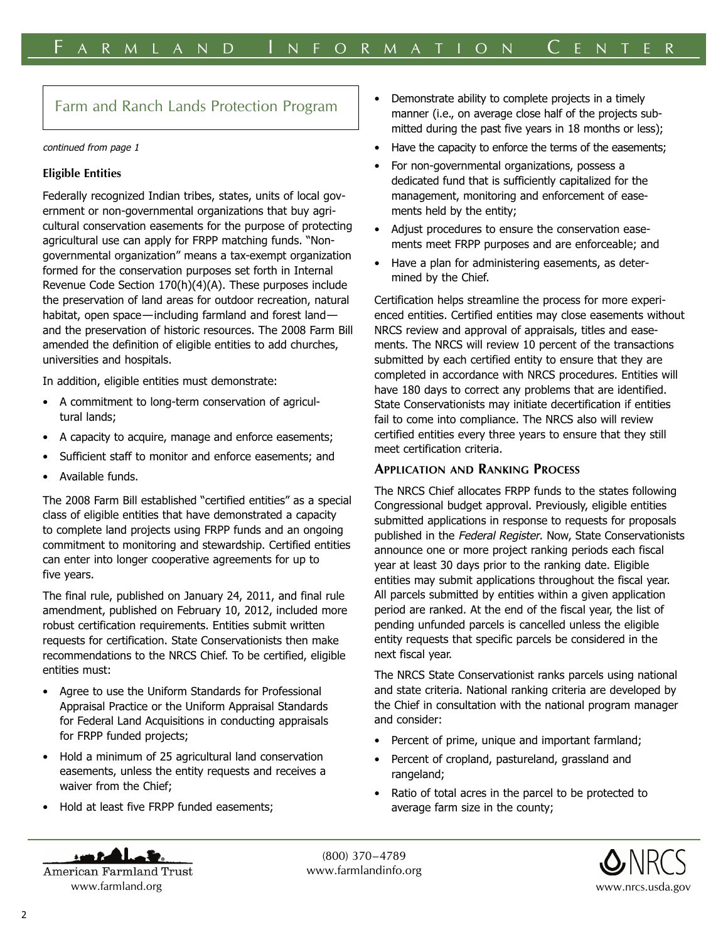## Farm and Ranch Lands Protection Program

#### continued from page 1

#### **Eligible Entities**

Federally recognized Indian tribes, states, units of local government or non-governmental organizations that buy agricultural conservation easements for the purpose of protecting agricultural use can apply for FRPP matching funds. "Nongovernmental organization" means a tax-exempt organization formed for the conservation purposes set forth in Internal Revenue Code Section 170(h)(4)(A). These purposes include the preservation of land areas for outdoor recreation, natural habitat, open space—including farmland and forest land and the preservation of historic resources. The 2008 Farm Bill amended the definition of eligible entities to add churches, universities and hospitals.

In addition, eligible entities must demonstrate:

- A commitment to long-term conservation of agricultural lands;
- A capacity to acquire, manage and enforce easements;
- Sufficient staff to monitor and enforce easements; and
- Available funds.

The 2008 Farm Bill established "certified entities" as a special class of eligible entities that have demonstrated a capacity to complete land projects using FRPP funds and an ongoing commitment to monitoring and stewardship. Certified entities can enter into longer cooperative agreements for up to five years.

The final rule, published on January 24, 2011, and final rule amendment, published on February 10, 2012, included more robust certification requirements. Entities submit written requests for certification. State Conservationists then make recommendations to the NRCS Chief. To be certified, eligible entities must:

- Agree to use the Uniform Standards for Professional Appraisal Practice or the Uniform Appraisal Standards for Federal Land Acquisitions in conducting appraisals for FRPP funded projects;
- Hold a minimum of 25 agricultural land conservation easements, unless the entity requests and receives a waiver from the Chief;
- Hold at least five FRPP funded easements;
- Demonstrate ability to complete projects in a timely manner (i.e., on average close half of the projects submitted during the past five years in 18 months or less);
- Have the capacity to enforce the terms of the easements;
- For non-governmental organizations, possess a dedicated fund that is sufficiently capitalized for the management, monitoring and enforcement of easements held by the entity;
- Adjust procedures to ensure the conservation easements meet FRPP purposes and are enforceable; and
- Have a plan for administering easements, as determined by the Chief.

Certification helps streamline the process for more experienced entities. Certified entities may close easements without NRCS review and approval of appraisals, titles and easements. The NRCS will review 10 percent of the transactions submitted by each certified entity to ensure that they are completed in accordance with NRCS procedures. Entities will have 180 days to correct any problems that are identified. State Conservationists may initiate decertification if entities fail to come into compliance. The NRCS also will review certified entities every three years to ensure that they still meet certification criteria.

## **APPLICATION AND RANKING PROCESS**

The NRCS Chief allocates FRPP funds to the states following Congressional budget approval. Previously, eligible entities submitted applications in response to requests for proposals published in the Federal Register. Now, State Conservationists announce one or more project ranking periods each fiscal year at least 30 days prior to the ranking date. Eligible entities may submit applications throughout the fiscal year. All parcels submitted by entities within a given application period are ranked. At the end of the fiscal year, the list of pending unfunded parcels is cancelled unless the eligible entity requests that specific parcels be considered in the next fiscal year.

The NRCS State Conservationist ranks parcels using national and state criteria. National ranking criteria are developed by the Chief in consultation with the national program manager and consider:

- Percent of prime, unique and important farmland;
- Percent of cropland, pastureland, grassland and rangeland;
- Ratio of total acres in the parcel to be protected to average farm size in the county;



(800) 370–4789 www.farmlandinfo.org

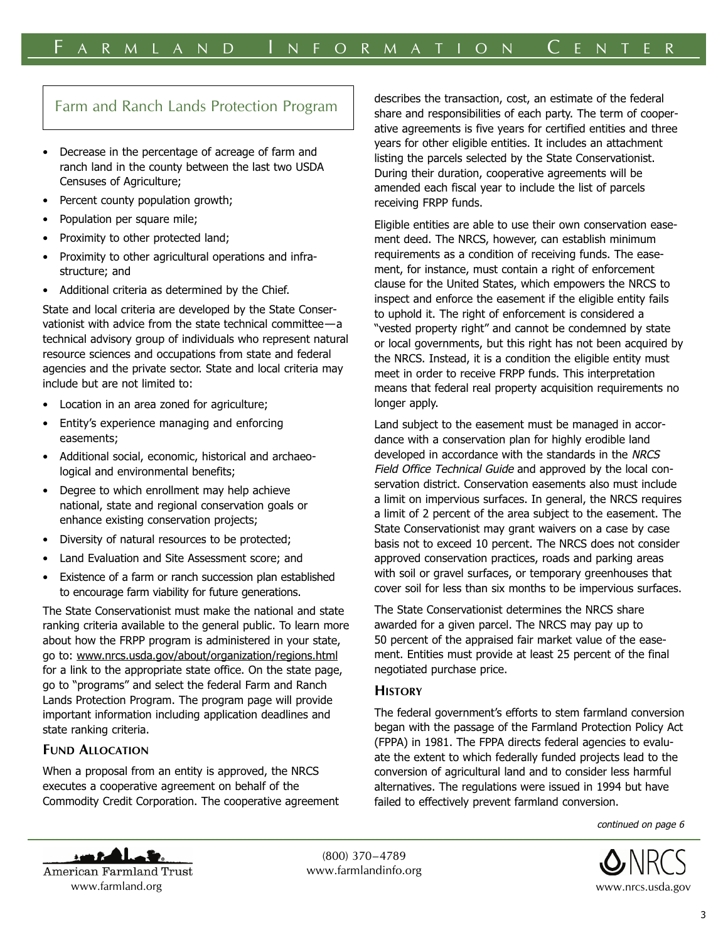# Farm and Ranch Lands Protection Program

- Decrease in the percentage of acreage of farm and ranch land in the county between the last two USDA Censuses of Agriculture;
- Percent county population growth;
- Population per square mile;
- Proximity to other protected land;
- Proximity to other agricultural operations and infrastructure; and
- Additional criteria as determined by the Chief.

State and local criteria are developed by the State Conservationist with advice from the state technical committee—a technical advisory group of individuals who represent natural resource sciences and occupations from state and federal agencies and the private sector. State and local criteria may include but are not limited to:

- Location in an area zoned for agriculture;
- Entity's experience managing and enforcing easements;
- Additional social, economic, historical and archaeological and environmental benefits;
- Degree to which enrollment may help achieve national, state and regional conservation goals or enhance existing conservation projects;
- Diversity of natural resources to be protected;
- Land Evaluation and Site Assessment score; and
- Existence of a farm or ranch succession plan established to encourage farm viability for future generations.

The State Conservationist must make the national and state ranking criteria available to the general public. To learn more about how the FRPP program is administered in your state, go to: www.nrcs.usda.gov/about/organization/regions.html for a link to the appropriate state office. On the state page, go to "programs" and select the federal Farm and Ranch Lands Protection Program. The program page will provide important information including application deadlines and state ranking criteria.

## **FUND ALLOCATION**

saan Pa

When a proposal from an entity is approved, the NRCS executes a cooperative agreement on behalf of the Commodity Credit Corporation. The cooperative agreement describes the transaction, cost, an estimate of the federal share and responsibilities of each party. The term of cooperative agreements is five years for certified entities and three years for other eligible entities. It includes an attachment listing the parcels selected by the State Conservationist. During their duration, cooperative agreements will be amended each fiscal year to include the list of parcels receiving FRPP funds.

Eligible entities are able to use their own conservation easement deed. The NRCS, however, can establish minimum requirements as a condition of receiving funds. The easement, for instance, must contain a right of enforcement clause for the United States, which empowers the NRCS to inspect and enforce the easement if the eligible entity fails to uphold it. The right of enforcement is considered a "vested property right" and cannot be condemned by state or local governments, but this right has not been acquired by the NRCS. Instead, it is a condition the eligible entity must meet in order to receive FRPP funds. This interpretation means that federal real property acquisition requirements no longer apply.

Land subject to the easement must be managed in accordance with a conservation plan for highly erodible land developed in accordance with the standards in the NRCS Field Office Technical Guide and approved by the local conservation district. Conservation easements also must include a limit on impervious surfaces. In general, the NRCS requires a limit of 2 percent of the area subject to the easement. The State Conservationist may grant waivers on a case by case basis not to exceed 10 percent. The NRCS does not consider approved conservation practices, roads and parking areas with soil or gravel surfaces, or temporary greenhouses that cover soil for less than six months to be impervious surfaces.

The State Conservationist determines the NRCS share awarded for a given parcel. The NRCS may pay up to 50 percent of the appraised fair market value of the easement. Entities must provide at least 25 percent of the final negotiated purchase price.

## **HISTORY**

The federal government's efforts to stem farmland conversion began with the passage of the Farmland Protection Policy Act (FPPA) in 1981. The FPPA directs federal agencies to evaluate the extent to which federally funded projects lead to the conversion of agricultural land and to consider less harmful alternatives. The regulations were issued in 1994 but have failed to effectively prevent farmland conversion.

continued on page 6



American Farmland Trust www.farmland.org www.nrcs.usda.gov

(800) 370–4789 www.farmlandinfo.org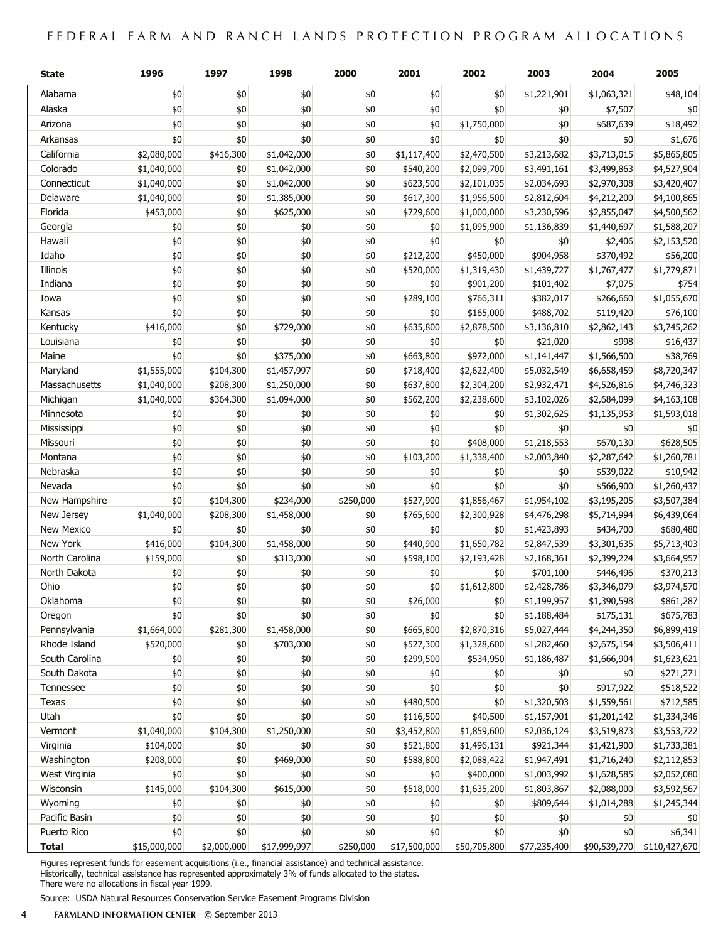## FEDERAL FARM AND RANCH LANDS PROTECTION PROGRAM ALLOCATIONS

| <b>State</b>      | 1996         | 1997        | 1998         | 2000      | 2001         | 2002         | 2003         | 2004         | 2005          |
|-------------------|--------------|-------------|--------------|-----------|--------------|--------------|--------------|--------------|---------------|
| Alabama           | \$0          | \$0         | \$0          | \$0       | \$0          | \$0          | \$1,221,901  | \$1,063,321  | \$48,104      |
| Alaska            | \$0          | \$0         | \$0          | \$0       | \$0          | \$0          | \$0          | \$7,507      | \$0           |
| Arizona           | \$0          | \$0         | \$0          | \$0       | \$0          | \$1,750,000  | \$0          | \$687,639    | \$18,492      |
| Arkansas          | \$0          | \$0         | \$0          | \$0       | \$0          | $$0$$        | \$0          | \$0          | \$1,676       |
| California        | \$2,080,000  | \$416,300   | \$1,042,000  | \$0       | \$1,117,400  | \$2,470,500  | \$3,213,682  | \$3,713,015  | \$5,865,805   |
| Colorado          | \$1,040,000  | \$0         | \$1,042,000  | \$0       | \$540,200    | \$2,099,700  | \$3,491,161  | \$3,499,863  | \$4,527,904   |
| Connecticut       | \$1,040,000  | \$0         | \$1,042,000  | \$0       | \$623,500    | \$2,101,035  | \$2,034,693  | \$2,970,308  | \$3,420,407   |
| Delaware          | \$1,040,000  | \$0         | \$1,385,000  | \$0       | \$617,300    | \$1,956,500  | \$2,812,604  | \$4,212,200  | \$4,100,865   |
| Florida           | \$453,000    | \$0         | \$625,000    | \$0       | \$729,600    | \$1,000,000  | \$3,230,596  | \$2,855,047  | \$4,500,562   |
| Georgia           | \$0          | \$0         | \$0          | \$0       | \$0          | \$1,095,900  | \$1,136,839  | \$1,440,697  | \$1,588,207   |
| Hawaii            | \$0          | \$0         | \$0          | \$0       | \$0          | \$0          | \$0          | \$2,406      | \$2,153,520   |
| Idaho             | \$0          | \$0         | \$0          | \$0       | \$212,200    | \$450,000    | \$904,958    | \$370,492    | \$56,200      |
| Illinois          | \$0          | \$0         | \$0          | \$0       | \$520,000    | \$1,319,430  | \$1,439,727  | \$1,767,477  | \$1,779,871   |
| Indiana           | \$0          | \$0         | \$0          | \$0       | \$0          | \$901,200    | \$101,402    | \$7,075      | \$754         |
| Iowa              | \$0          | \$0         | \$0          | \$0       | \$289,100    | \$766,311    | \$382,017    | \$266,660    | \$1,055,670   |
| Kansas            | \$0          | \$0         | \$0          | \$0       | \$0          | \$165,000    | \$488,702    | \$119,420    | \$76,100      |
| Kentucky          | \$416,000    | \$0         | \$729,000    | \$0       | \$635,800    | \$2,878,500  | \$3,136,810  | \$2,862,143  | \$3,745,262   |
| Louisiana         | \$0          | \$0         | \$0          | \$0       | \$0          | \$0          | \$21,020     | \$998        | \$16,437      |
| Maine             | \$0          | \$0         | \$375,000    | \$0       | \$663,800    | \$972,000    | \$1,141,447  | \$1,566,500  | \$38,769      |
| Maryland          | \$1,555,000  | \$104,300   | \$1,457,997  | \$0       | \$718,400    | \$2,622,400  | \$5,032,549  | \$6,658,459  | \$8,720,347   |
| Massachusetts     | \$1,040,000  | \$208,300   | \$1,250,000  | \$0       | \$637,800    | \$2,304,200  | \$2,932,471  | \$4,526,816  | \$4,746,323   |
| Michigan          | \$1,040,000  | \$364,300   | \$1,094,000  | \$0       | \$562,200    | \$2,238,600  | \$3,102,026  | \$2,684,099  | \$4,163,108   |
| Minnesota         | \$0          | \$0         | \$0          | \$0       | \$0          | \$0          | \$1,302,625  | \$1,135,953  | \$1,593,018   |
| Mississippi       | \$0          | \$0         | \$0          | \$0       | \$0          | \$0          | \$0          | \$0          | \$0           |
| Missouri          | \$0          | \$0         | \$0          | \$0       | \$0          | \$408,000    | \$1,218,553  | \$670,130    | \$628,505     |
| Montana           | \$0          | \$0         | \$0          | \$0       | \$103,200    | \$1,338,400  | \$2,003,840  | \$2,287,642  | \$1,260,781   |
| Nebraska          | \$0          | \$0         | \$0          | \$0       | \$0          | \$0          | \$0          | \$539,022    | \$10,942      |
| Nevada            | \$0          | \$0         | \$0          | \$0       | \$0          | \$0          | \$0          | \$566,900    | \$1,260,437   |
| New Hampshire     | \$0          | \$104,300   | \$234,000    | \$250,000 | \$527,900    | \$1,856,467  | \$1,954,102  | \$3,195,205  | \$3,507,384   |
| New Jersey        | \$1,040,000  | \$208,300   | \$1,458,000  | \$0       | \$765,600    | \$2,300,928  | \$4,476,298  | \$5,714,994  | \$6,439,064   |
| <b>New Mexico</b> | \$0          | \$0         | \$0          | \$0       | \$0          | \$0          | \$1,423,893  | \$434,700    | \$680,480     |
| New York          | \$416,000    | \$104,300   | \$1,458,000  | \$0       | \$440,900    | \$1,650,782  | \$2,847,539  | \$3,301,635  | \$5,713,403   |
| North Carolina    | \$159,000    | \$0         | \$313,000    | \$0       | \$598,100    | \$2,193,428  | \$2,168,361  | \$2,399,224  | \$3,664,957   |
| North Dakota      | \$0          | \$0         | \$0          | \$0       | \$0          | \$0          | \$701,100    | \$446,496    | \$370,213     |
| Ohio              | \$0          | \$0         | \$0          | \$0       | \$0          | \$1,612,800  | \$2,428,786  | \$3,346,079  | \$3,974,570   |
| Oklahoma          | \$0          | \$0         | \$0          | \$0       | \$26,000     | \$0          | \$1,199,957  | \$1,390,598  | \$861,287     |
| Oregon            | \$0          | \$0         | \$0          | \$0       | \$0          | \$0          | \$1,188,484  | \$175,131    | \$675,783     |
| Pennsylvania      | \$1,664,000  | \$281,300   | \$1,458,000  | \$0       | \$665,800    | \$2,870,316  | \$5,027,444  | \$4,244,350  | \$6,899,419   |
| Rhode Island      | \$520,000    | \$0         | \$703,000    | \$0       | \$527,300    | \$1,328,600  | \$1,282,460  | \$2,675,154  | \$3,506,411   |
| South Carolina    | \$0          | \$0         | \$0          | \$0       | \$299,500    | \$534,950    | \$1,186,487  | \$1,666,904  | \$1,623,621   |
| South Dakota      | \$0          | \$0         | \$0          | \$0       | \$0          | \$0          | \$0          | \$0          | \$271,271     |
| Tennessee         | \$0          | \$0         | \$0          | \$0       | \$0          | \$0          | \$0          | \$917,922    | \$518,522     |
| Texas             | \$0          | \$0         | \$0          | \$0       | \$480,500    | \$0          | \$1,320,503  | \$1,559,561  | \$712,585     |
| Utah              | \$0          | \$0         | \$0          | \$0       | \$116,500    | \$40,500     | \$1,157,901  | \$1,201,142  | \$1,334,346   |
| Vermont           | \$1,040,000  | \$104,300   | \$1,250,000  | \$0       | \$3,452,800  | \$1,859,600  | \$2,036,124  | \$3,519,873  | \$3,553,722   |
| Virginia          | \$104,000    | \$0         | \$0          | \$0       | \$521,800    | \$1,496,131  | \$921,344    | \$1,421,900  | \$1,733,381   |
| Washington        | \$208,000    | \$0         | \$469,000    | \$0       | \$588,800    | \$2,088,422  | \$1,947,491  | \$1,716,240  | \$2,112,853   |
| West Virginia     | \$0          | \$0         | \$0          | \$0       | \$0          | \$400,000    | \$1,003,992  | \$1,628,585  | \$2,052,080   |
| Wisconsin         | \$145,000    | \$104,300   | \$615,000    | \$0       | \$518,000    | \$1,635,200  | \$1,803,867  | \$2,088,000  | \$3,592,567   |
| Wyoming           | \$0          | \$0         | \$0          | \$0       | \$0          | \$0          | \$809,644    | \$1,014,288  | \$1,245,344   |
| Pacific Basin     | \$0          | \$0         | \$0          | \$0       | \$0          | \$0          | \$0          | \$0          | \$0           |
| Puerto Rico       | \$0          | \$0         | \$0          | \$0       | \$0          | \$0          | \$0          | \$0          | \$6,341       |
| <b>Total</b>      | \$15,000,000 | \$2,000,000 | \$17,999,997 | \$250,000 | \$17,500,000 | \$50,705,800 | \$77,235,400 | \$90,539,770 | \$110,427,670 |

Figures represent funds for easement acquisitions (i.e., financial assistance) and technical assistance. Historically, technical assistance has represented approximately 3% of funds allocated to the states. There were no allocations in fiscal year 1999.

Source: USDA Natural Resources Conservation Service Easement Programs Division